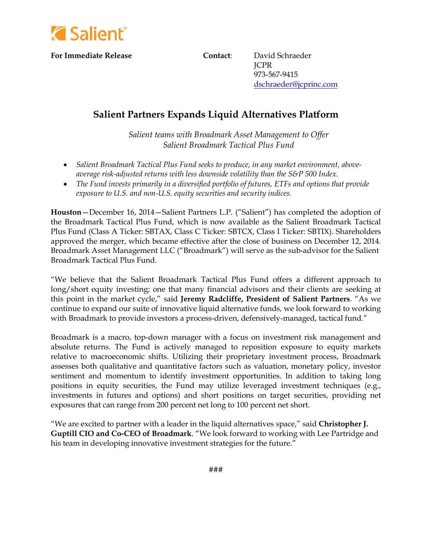

**For Immediate Release Contact**: David Schraeder

 JCPR 973-567-9415 [dschraeder@jcprinc.com](mailto:dschraeder@jcprinc.com)

## **Salient Partners Expands Liquid Alternatives Platform**

*Salient teams with Broadmark Asset Management to Offer Salient Broadmark Tactical Plus Fund* 

- *Salient Broadmark Tactical Plus Fund seeks to produce, in any market environment, aboveaverage risk-adjusted returns with less downside volatility than the S&P 500 Index.*
- *The Fund invests primarily in a diversified portfolio of futures, ETFs and options that provide exposure to U.S. and non-U.S. equity securities and security indices.*

**Houston**—December 16, 2014—Salient Partners L.P. ("Salient") has completed the adoption of the Broadmark Tactical Plus Fund, which is now available as the Salient Broadmark Tactical Plus Fund (Class A Ticker: SBTAX, Class C Ticker: SBTCX, Class I Ticker: SBTIX). Shareholders approved the merger, which became effective after the close of business on December 12, 2014. Broadmark Asset Management LLC ("Broadmark") will serve as the sub-advisor for the Salient Broadmark Tactical Plus Fund.

"We believe that the Salient Broadmark Tactical Plus Fund offers a different approach to long/short equity investing; one that many financial advisors and their clients are seeking at this point in the market cycle," said **Jeremy Radcliffe, President of Salient Partners**. "As we continue to expand our suite of innovative liquid alternative funds, we look forward to working with Broadmark to provide investors a process-driven, defensively-managed, tactical fund."

Broadmark is a macro, top-down manager with a focus on investment risk management and absolute returns. The Fund is actively managed to reposition exposure to equity markets relative to macroeconomic shifts. Utilizing their proprietary investment process, Broadmark assesses both qualitative and quantitative factors such as valuation, monetary policy, investor sentiment and momentum to identify investment opportunities. In addition to taking long positions in equity securities, the Fund may utilize leveraged investment techniques (e.g., investments in futures and options) and short positions on target securities, providing net exposures that can range from 200 percent net long to 100 percent net short.

"We are excited to partner with a leader in the liquid alternatives space," said **Christopher J. Guptill CIO and Co-CEO of Broadmark**. "We look forward to working with Lee Partridge and his team in developing innovative investment strategies for the future."